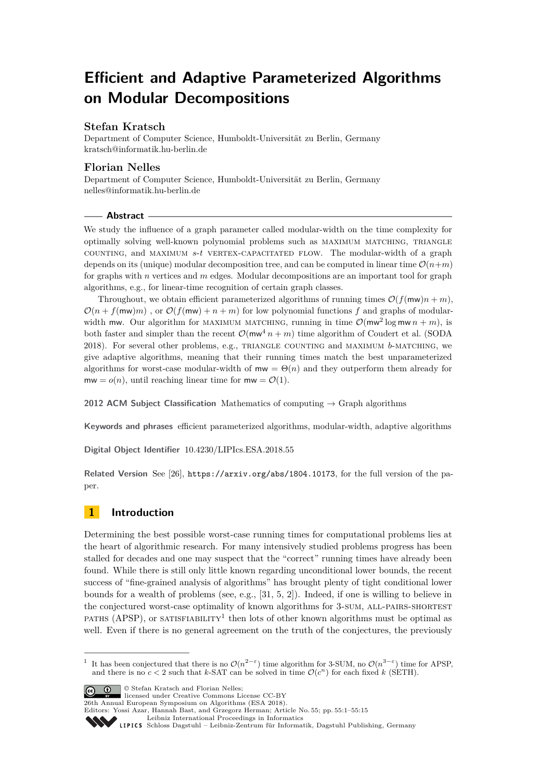# **Efficient and Adaptive Parameterized Algorithms on Modular Decompositions**

## **Stefan Kratsch**

Department of Computer Science, Humboldt-Universität zu Berlin, Germany [kratsch@informatik.hu-berlin.de](mailto:kratsch@informatik.hu-berlin.de)

### **Florian Nelles**

Department of Computer Science, Humboldt-Universität zu Berlin, Germany [nelles@informatik.hu-berlin.de](mailto:nelles@informatik.hu-berlin.de)

#### **Abstract**

We study the influence of a graph parameter called modular-width on the time complexity for optimally solving well-known polynomial problems such as maximum matching, triangle counting, and maximum *s*-*t* vertex-capacitated flow. The modular-width of a graph depends on its (unique) modular decomposition tree, and can be computed in linear time  $\mathcal{O}(n+m)$ for graphs with *n* vertices and *m* edges. Modular decompositions are an important tool for graph algorithms, e.g., for linear-time recognition of certain graph classes.

Throughout, we obtain efficient parameterized algorithms of running times  $\mathcal{O}(f(\mathsf{mw})n + m)$ ,  $\mathcal{O}(n + f(\mathsf{mw})m)$ , or  $\mathcal{O}(f(\mathsf{mw}) + n + m)$  for low polynomial functions f and graphs of modularwidth mw. Our algorithm for MAXIMUM MATCHING, running in time  $\mathcal{O}(\text{mw}^2 \log \text{mw } n + m)$ , is both faster and simpler than the recent  $\mathcal{O}(\text{mw}^4 n + m)$  time algorithm of Coudert et al. (SODA 2018). For several other problems, e.g., triangle counting and maximum *b*-matching, we give adaptive algorithms, meaning that their running times match the best unparameterized algorithms for worst-case modular-width of  $m\mathbf{w} = \Theta(n)$  and they outperform them already for  $mw = o(n)$ , until reaching linear time for  $mw = \mathcal{O}(1)$ .

**2012 ACM Subject Classification** Mathematics of computing → Graph algorithms

**Keywords and phrases** efficient parameterized algorithms, modular-width, adaptive algorithms

**Digital Object Identifier** [10.4230/LIPIcs.ESA.2018.55](http://dx.doi.org/10.4230/LIPIcs.ESA.2018.55)

**Related Version** See [\[26\]](#page-13-0), <https://arxiv.org/abs/1804.10173>, for the full version of the paper.

# **1 Introduction**

Determining the best possible worst-case running times for computational problems lies at the heart of algorithmic research. For many intensively studied problems progress has been stalled for decades and one may suspect that the "correct" running times have already been found. While there is still only little known regarding unconditional lower bounds, the recent success of "fine-grained analysis of algorithms" has brought plenty of tight conditional lower bounds for a wealth of problems (see, e.g., [\[31,](#page-14-0) [5,](#page-12-0) [2\]](#page-12-1)). Indeed, if one is willing to believe in the conjectured worst-case optimality of known algorithms for 3-SUM, ALL-PAIRS-SHORTEST PATHS (APSP), or SATISFIABILITY<sup>[1](#page-0-0)</sup> then lots of other known algorithms must be optimal as well. Even if there is no general agreement on the truth of the conjectures, the previously

© Stefan Kratsch and Florian Nelles; licensed under Creative Commons License CC-BY 26th Annual European Symposium on Algorithms (ESA 2018). Editors: Yossi Azar, Hannah Bast, and Grzegorz Herman; Article No. 55; pp. 55:1–55[:15](#page-14-1) [Leibniz International Proceedings in Informatics](http://www.dagstuhl.de/lipics/)

<span id="page-0-0"></span><sup>&</sup>lt;sup>1</sup> It has been conjectured that there is no  $\mathcal{O}(n^{2-\varepsilon})$  time algorithm for 3-SUM, no  $\mathcal{O}(n^{3-\varepsilon})$  time for APSP, and there is no  $c < 2$  such that k-SAT can be solved in time  $\mathcal{O}(c^n)$  for each fixed k (SETH).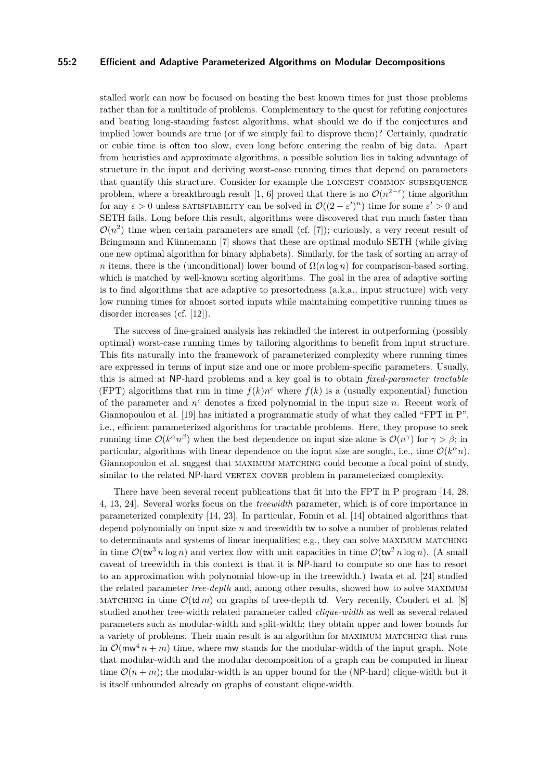#### **55:2 Efficient and Adaptive Parameterized Algorithms on Modular Decompositions**

stalled work can now be focused on beating the best known times for just those problems rather than for a multitude of problems. Complementary to the quest for refuting conjectures and beating long-standing fastest algorithms, what should we do if the conjectures and implied lower bounds are true (or if we simply fail to disprove them)? Certainly, quadratic or cubic time is often too slow, even long before entering the realm of big data. Apart from heuristics and approximate algorithms, a possible solution lies in taking advantage of structure in the input and deriving worst-case running times that depend on parameters that quantify this structure. Consider for example the longest common subsequence problem, where a breakthrough result [\[1,](#page-12-2) [6\]](#page-12-3) proved that there is no  $\mathcal{O}(n^{2-\epsilon})$  time algorithm for any  $\varepsilon > 0$  unless SATISFIABILITY can be solved in  $\mathcal{O}((2-\varepsilon')^n)$  time for some  $\varepsilon' > 0$  and SETH fails. Long before this result, algorithms were discovered that run much faster than  $\mathcal{O}(n^2)$  time when certain parameters are small (cf. [\[7\]](#page-12-4)); curiously, a very recent result of Bringmann and Künnemann [\[7\]](#page-12-4) shows that these are optimal modulo SETH (while giving one new optimal algorithm for binary alphabets). Similarly, for the task of sorting an array of *n* items, there is the (unconditional) lower bound of  $\Omega(n \log n)$  for comparison-based sorting, which is matched by well-known sorting algorithms. The goal in the area of adaptive sorting is to find algorithms that are adaptive to presortedness (a.k.a., input structure) with very low running times for almost sorted inputs while maintaining competitive running times as disorder increases (cf. [\[12\]](#page-12-5)).

The success of fine-grained analysis has rekindled the interest in outperforming (possibly optimal) worst-case running times by tailoring algorithms to benefit from input structure. This fits naturally into the framework of parameterized complexity where running times are expressed in terms of input size and one or more problem-specific parameters. Usually, this is aimed at NP-hard problems and a key goal is to obtain *fixed-parameter tractable* (FPT) algorithms that run in time  $f(k)n^c$  where  $f(k)$  is a (usually exponential) function of the parameter and *n <sup>c</sup>* denotes a fixed polynomial in the input size *n*. Recent work of Giannopoulou et al. [\[19\]](#page-13-1) has initiated a programmatic study of what they called "FPT in P", i.e., efficient parameterized algorithms for tractable problems. Here, they propose to seek running time  $\mathcal{O}(k^{\alpha}n^{\beta})$  when the best dependence on input size alone is  $\mathcal{O}(n^{\gamma})$  for  $\gamma > \beta$ ; in particular, algorithms with linear dependence on the input size are sought, i.e., time  $\mathcal{O}(k^{\alpha}n)$ . Giannopoulou et al. suggest that maximum matching could become a focal point of study, similar to the related NP-hard VERTEX COVER problem in parameterized complexity.

There have been several recent publications that fit into the FPT in P program [\[14,](#page-12-6) [28,](#page-13-2) [4,](#page-12-7) [13,](#page-12-8) [24\]](#page-13-3). Several works focus on the *treewidth* parameter, which is of core importance in parameterized complexity [\[14,](#page-12-6) [23\]](#page-13-4). In particular, Fomin et al. [\[14\]](#page-12-6) obtained algorithms that depend polynomially on input size *n* and treewidth tw to solve a number of problems related to determinants and systems of linear inequalities; e.g., they can solve maximum matching in time  $\mathcal{O}(\text{tw}^3 n \log n)$  and vertex flow with unit capacities in time  $\mathcal{O}(\text{tw}^2 n \log n)$ . (A small caveat of treewidth in this context is that it is NP-hard to compute so one has to resort to an approximation with polynomial blow-up in the treewidth.) Iwata et al. [\[24\]](#page-13-3) studied the related parameter *tree-depth* and, among other results, showed how to solve maximum MATCHING in time  $\mathcal{O}(\text{td } m)$  on graphs of tree-depth td. Very recently, Coudert et al. [\[8\]](#page-12-9) studied another tree-width related parameter called *clique-width* as well as several related parameters such as modular-width and split-width; they obtain upper and lower bounds for a variety of problems. Their main result is an algorithm for maximum matching that runs in  $\mathcal{O}(\mathsf{mw}^4 n + m)$  time, where mw stands for the modular-width of the input graph. Note that modular-width and the modular decomposition of a graph can be computed in linear time  $\mathcal{O}(n+m)$ ; the modular-width is an upper bound for the (NP-hard) clique-width but it is itself unbounded already on graphs of constant clique-width.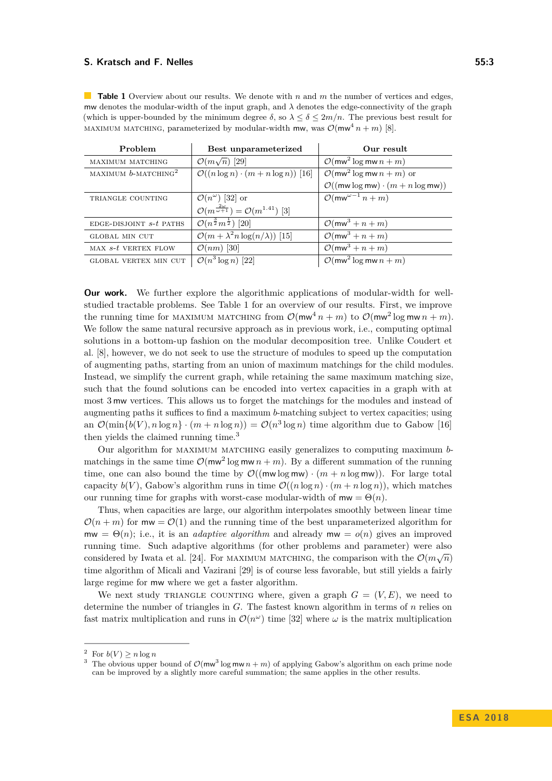<span id="page-2-1"></span>**Table 1** Overview about our results. We denote with *n* and *m* the number of vertices and edges, mw denotes the modular-width of the input graph, and  $\lambda$  denotes the edge-connectivity of the graph (which is upper-bounded by the minimum degree  $\delta$ , so  $\lambda \leq \delta \leq 2m/n$ . The previous best result for MAXIMUM MATCHING, parameterized by modular-width mw, was  $\mathcal{O}(m\omega^4 n + m)$  [\[8\]](#page-12-9).

| Problem                            | Best unparameterized                                                    | Our result                                                           |
|------------------------------------|-------------------------------------------------------------------------|----------------------------------------------------------------------|
| MAXIMUM MATCHING                   | $\mathcal{O}(m\sqrt{n})$ [29]                                           | $\mathcal{O}(\text{mw}^2 \log \text{mw } n + m)$                     |
| MAXIMUM $b$ -MATCHING <sup>2</sup> | $\mathcal{O}((n \log n) \cdot (m + n \log n))$ [16]                     | $\overline{\mathcal{O}}$ (mw <sup>2</sup> log mw $n + m$ ) or        |
|                                    |                                                                         | $\mathcal{O}((\mathsf{mw}\log\mathsf{mw})\cdot(m+n\log\mathsf{mw}))$ |
| TRIANGLE COUNTING                  | $\mathcal{O}(n^{\omega})$ [32] or                                       | $\mathcal{O}(\mathsf{mw}^{\omega-1}n+m)$                             |
|                                    | $\mathcal{O}(m^{\frac{2\omega}{\omega+1}}) = \mathcal{O}(m^{1.41})$ [3] |                                                                      |
| EDGE-DISJOINT $s-t$ PATHS          | $\overline{\mathcal{O}(n^{\frac{3}{2}}m^{\frac{1}{2}})}$ [20]           | $\mathcal{O}(\text{mw}^3 + n + m)$                                   |
| <b>GLOBAL MIN CUT</b>              | $\mathcal{O}(m + \lambda^2 n \log(n/\lambda))$ [15]                     | $\mathcal{O}(\text{mw}^3 + n + m)$                                   |
| MAX $s$ -t VERTEX FLOW             | $\mathcal{O}(nm)$ [30]                                                  | $\mathcal{O}(\text{mw}^3 + n + m)$                                   |
| GLOBAL VERTEX MIN CUT              | $\mathcal{O}(n^3 \log n)$ [22]                                          | $\mathcal{O}(\text{mw}^2 \log \text{mw} n + m)$                      |

**Our work.** We further explore the algorithmic applications of modular-width for wellstudied tractable problems. See Table [1](#page-2-1) for an overview of our results. First, we improve the running time for MAXIMUM MATCHING from  $\mathcal{O}(\text{mw}^4 n + m)$  to  $\mathcal{O}(\text{mw}^2 \log \text{mw} n + m)$ . We follow the same natural recursive approach as in previous work, i.e., computing optimal solutions in a bottom-up fashion on the modular decomposition tree. Unlike Coudert et al. [\[8\]](#page-12-9), however, we do not seek to use the structure of modules to speed up the computation of augmenting paths, starting from an union of maximum matchings for the child modules. Instead, we simplify the current graph, while retaining the same maximum matching size, such that the found solutions can be encoded into vertex capacities in a graph with at most 3 mw vertices. This allows us to forget the matchings for the modules and instead of augmenting paths it suffices to find a maximum *b*-matching subject to vertex capacities; using an  $\mathcal{O}(\min\{b(V), n \log n\} \cdot (m + n \log n)) = \mathcal{O}(n^3 \log n)$  time algorithm due to Gabow [\[16\]](#page-13-6) then yields the claimed running time.[3](#page-2-2)

Our algorithm for maximum matching easily generalizes to computing maximum *b*matchings in the same time  $\mathcal{O}(\text{mw}^2 \log \text{mw} \, n + m)$ . By a different summation of the running time, one can also bound the time by  $\mathcal{O}((m w \log m w) \cdot (m + n \log m w))$ . For large total capacity  $b(V)$ , Gabow's algorithm runs in time  $\mathcal{O}((n \log n) \cdot (m + n \log n))$ , which matches our running time for graphs with worst-case modular-width of  $mw = \Theta(n)$ .

Thus, when capacities are large, our algorithm interpolates smoothly between linear time  $\mathcal{O}(n+m)$  for  $m\mathbf{w} = \mathcal{O}(1)$  and the running time of the best unparameterized algorithm for  $mw = \Theta(n)$ ; i.e., it is an *adaptive algorithm* and already  $mw = o(n)$  gives an improved running time. Such adaptive algorithms (for other problems and parameter) were also considered by Iwata et al. [\[24\]](#page-13-3). For MAXIMUM MATCHING, the comparison with the  $\mathcal{O}(m\sqrt{n})$ time algorithm of Micali and Vazirani [\[29\]](#page-13-5) is of course less favorable, but still yields a fairly large regime for mw where we get a faster algorithm.

We next study TRIANGLE COUNTING where, given a graph  $G = (V, E)$ , we need to determine the number of triangles in *G*. The fastest known algorithm in terms of *n* relies on fast matrix multiplication and runs in  $\mathcal{O}(n^{\omega})$  time [\[32\]](#page-14-2) where  $\omega$  is the matrix multiplication

<span id="page-2-0"></span><sup>&</sup>lt;sup>2</sup> For  $b(V) \ge n \log n$ 

<span id="page-2-2"></span><sup>&</sup>lt;sup>3</sup> The obvious upper bound of  $\mathcal{O}(\text{mw}^3 \log \text{mw} \, n + m)$  of applying Gabow's algorithm on each prime node can be improved by a slightly more careful summation; the same applies in the other results.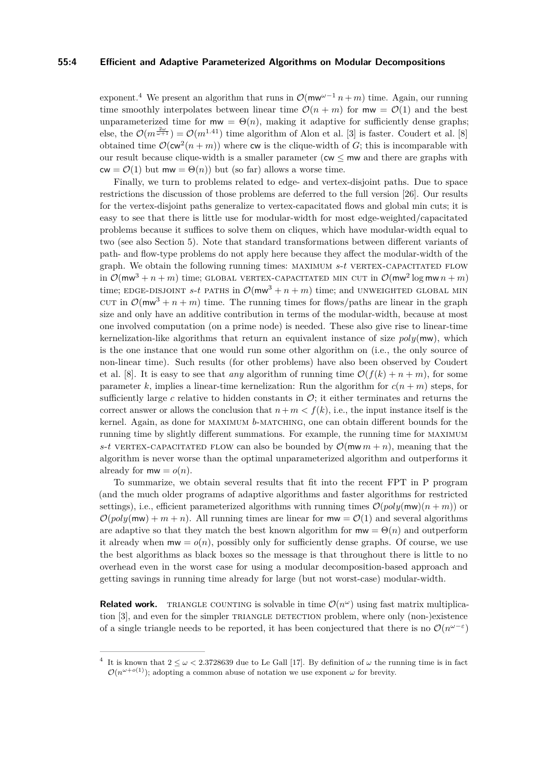#### **55:4 Efficient and Adaptive Parameterized Algorithms on Modular Decompositions**

exponent.<sup>[4](#page-3-0)</sup> We present an algorithm that runs in  $\mathcal{O}(\mathsf{mw}^{\omega-1} n + m)$  time. Again, our running time smoothly interpolates between linear time  $\mathcal{O}(n+m)$  for  $mw = \mathcal{O}(1)$  and the best unparameterized time for  $mw = \Theta(n)$ , making it adaptive for sufficiently dense graphs; else, the  $\mathcal{O}(m^{\frac{2\omega}{\omega+1}}) = \mathcal{O}(m^{1.41})$  time algorithm of Alon et al. [\[3\]](#page-12-10) is faster. Coudert et al. [\[8\]](#page-12-9) obtained time  $\mathcal{O}(\mathsf{cw}^2(n+m))$  where  $\mathsf{cw}$  is the clique-width of *G*; this is incomparable with our result because clique-width is a smaller parameter ( $cw < mv$  and there are graphs with  $cw = \mathcal{O}(1)$  but  $mw = \Theta(n)$ ) but (so far) allows a worse time.

Finally, we turn to problems related to edge- and vertex-disjoint paths. Due to space restrictions the discussion of those problems are deferred to the full version [\[26\]](#page-13-0). Our results for the vertex-disjoint paths generalize to vertex-capacitated flows and global min cuts; it is easy to see that there is little use for modular-width for most edge-weighted/capacitated problems because it suffices to solve them on cliques, which have modular-width equal to two (see also Section [5\)](#page-11-0). Note that standard transformations between different variants of path- and flow-type problems do not apply here because they affect the modular-width of the graph. We obtain the following running times: MAXIMUM  $s$ - $t$  VERTEX-CAPACITATED FLOW in  $\mathcal{O}(\text{mw}^3 + n + m)$  time; GLOBAL VERTEX-CAPACITATED MIN CUT in  $\mathcal{O}(\text{mw}^2 \log \text{mw } n + m)$ time; EDGE-DISJOINT *s*-*t* PATHS in  $\mathcal{O}(\text{mw}^3 + n + m)$  time; and UNWEIGHTED GLOBAL MIN cut in  $\mathcal{O}(m\omega^3 + n + m)$  time. The running times for flows/paths are linear in the graph size and only have an additive contribution in terms of the modular-width, because at most one involved computation (on a prime node) is needed. These also give rise to linear-time kernelization-like algorithms that return an equivalent instance of size *poly*(mw), which is the one instance that one would run some other algorithm on (i.e., the only source of non-linear time). Such results (for other problems) have also been observed by Coudert et al. [\[8\]](#page-12-9). It is easy to see that *any* algorithm of running time  $\mathcal{O}(f(k) + n + m)$ , for some parameter *k*, implies a linear-time kernelization: Run the algorithm for  $c(n + m)$  steps, for sufficiently large  $c$  relative to hidden constants in  $\mathcal{O}$ ; it either terminates and returns the correct answer or allows the conclusion that  $n + m < f(k)$ , i.e., the input instance itself is the kernel. Again, as done for maximum *b*-matching, one can obtain different bounds for the running time by slightly different summations. For example, the running time for maximum *s*-*t* VERTEX-CAPACITATED FLOW can also be bounded by  $\mathcal{O}(m w m + n)$ , meaning that the algorithm is never worse than the optimal unparameterized algorithm and outperforms it already for  $m w = o(n)$ .

To summarize, we obtain several results that fit into the recent FPT in P program (and the much older programs of adaptive algorithms and faster algorithms for restricted settings), i.e., efficient parameterized algorithms with running times  $\mathcal{O}(poly(mw)(n+m))$  or  $\mathcal{O}(poly(mw) + m + n)$ . All running times are linear for  $mw = \mathcal{O}(1)$  and several algorithms are adaptive so that they match the best known algorithm for  $mw = \Theta(n)$  and outperform it already when  $mw = o(n)$ , possibly only for sufficiently dense graphs. Of course, we use the best algorithms as black boxes so the message is that throughout there is little to no overhead even in the worst case for using a modular decomposition-based approach and getting savings in running time already for large (but not worst-case) modular-width.

**Related work.** TRIANGLE COUNTING is solvable in time  $\mathcal{O}(n^{\omega})$  using fast matrix multiplica-tion [\[3\]](#page-12-10), and even for the simpler TRIANGLE DETECTION problem, where only (non-)existence of a single triangle needs to be reported, it has been conjectured that there is no  $\mathcal{O}(n^{\omega-\epsilon})$ 

<span id="page-3-0"></span><sup>&</sup>lt;sup>4</sup> It is known that  $2 \leq \omega < 2.3728639$  due to Le Gall [\[17\]](#page-13-11). By definition of  $\omega$  the running time is in fact  $\mathcal{O}(n^{\omega+o(1)})$ ; adopting a common abuse of notation we use exponent  $\omega$  for brevity.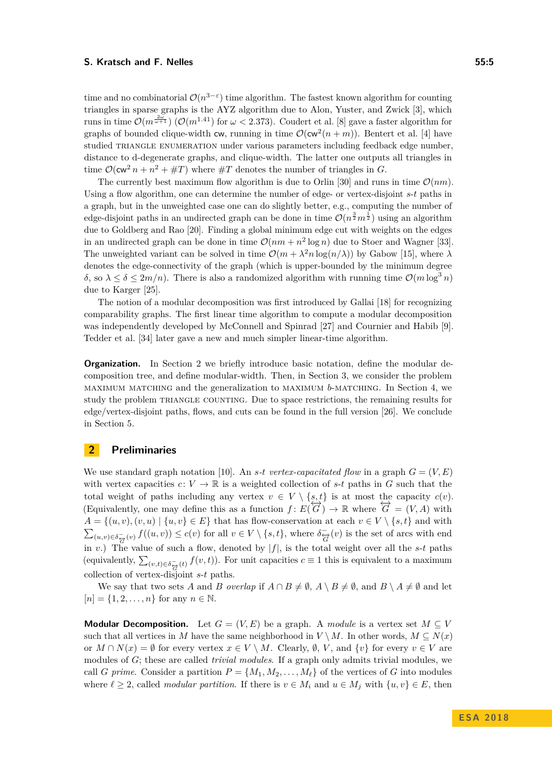time and no combinatorial  $\mathcal{O}(n^{3-\epsilon})$  time algorithm. The fastest known algorithm for counting triangles in sparse graphs is the AYZ algorithm due to Alon, Yuster, and Zwick [\[3\]](#page-12-10), which runs in time  $\mathcal{O}(m^{\frac{2\omega}{\omega+1}})$  ( $\mathcal{O}(m^{1.41})$  for  $\omega < 2.373$ ). Coudert et al. [\[8\]](#page-12-9) gave a faster algorithm for graphs of bounded clique-width cw, running in time  $\mathcal{O}(\text{cw}^2(n+m))$ . Bentert et al. [\[4\]](#page-12-7) have studied TRIANGLE ENUMERATION under various parameters including feedback edge number, distance to d-degenerate graphs, and clique-width. The latter one outputs all triangles in time  $\mathcal{O}(\mathsf{cw}^2 n + n^2 + \#T)$  where  $\#T$  denotes the number of triangles in *G*.

The currently best maximum flow algorithm is due to Orlin [\[30\]](#page-13-9) and runs in time  $\mathcal{O}(nm)$ . Using a flow algorithm, one can determine the number of edge- or vertex-disjoint *s*-*t* paths in a graph, but in the unweighted case one can do slightly better, e.g., computing the number of edge-disjoint paths in an undirected graph can be done in time  $\mathcal{O}(n^{\frac{3}{2}}m^{\frac{1}{2}})$  using an algorithm due to Goldberg and Rao [\[20\]](#page-13-7). Finding a global minimum edge cut with weights on the edges in an undirected graph can be done in time  $\mathcal{O}(nm + n^2 \log n)$  due to Stoer and Wagner [\[33\]](#page-14-3). The unweighted variant can be solved in time  $\mathcal{O}(m + \lambda^2 n \log(n/\lambda))$  by Gabow [\[15\]](#page-13-8), where  $\lambda$ denotes the edge-connectivity of the graph (which is upper-bounded by the minimum degree *δ*, so  $λ ≤ δ ≤ 2m/n$ . There is also a randomized algorithm with running time  $O(m \log^3 n)$ due to Karger [\[25\]](#page-13-12).

The notion of a modular decomposition was first introduced by Gallai [\[18\]](#page-13-13) for recognizing comparability graphs. The first linear time algorithm to compute a modular decomposition was independently developed by McConnell and Spinrad [\[27\]](#page-13-14) and Cournier and Habib [\[9\]](#page-12-11). Tedder et al. [\[34\]](#page-14-4) later gave a new and much simpler linear-time algorithm.

**Organization.** In Section [2](#page-4-0) we briefly introduce basic notation, define the modular decomposition tree, and define modular-width. Then, in Section [3,](#page-5-0) we consider the problem maximum matching and the generalization to maximum *b*-matching. In Section [4,](#page-9-0) we study the problem TRIANGLE COUNTING. Due to space restrictions, the remaining results for edge/vertex-disjoint paths, flows, and cuts can be found in the full version [\[26\]](#page-13-0). We conclude in Section [5.](#page-11-0)

## <span id="page-4-0"></span>**2 Preliminaries**

We use standard graph notation [\[10\]](#page-12-12). An *s*-*t* vertex-capacitated flow in a graph  $G = (V, E)$ with vertex capacities  $c: V \to \mathbb{R}$  is a weighted collection of s-t paths in G such that the total weight of paths including any vertex  $v \in V \setminus \{s, t\}$  is at most the capacity  $c(v)$ . (Equivalently, one may define this as a function  $f: E(\overrightarrow{G}) \to \mathbb{R}$  where  $\overleftrightarrow{G} = (V, A)$  with  $A = \{(u, v), (v, u) \mid \{u, v\} \in E\}$  that has flow-conservation at each  $v \in V \setminus \{s, t\}$  and with  $\sum_{(u,v)\in\delta_{\overrightarrow{G}}(v)} f((u,v)) \leq c(v)$  for all  $v \in V \setminus \{s,t\}$ , where  $\delta_{\overrightarrow{G}}(v)$  is the set of arcs with end in *v*.) The value of such a flow, denoted by  $|f|$ , is the total weight over all the *s*-*t* paths (equivalently,  $\sum_{(v,t)\in\delta_{\overleftrightarrow{G}}(t)} f(v,t)$ ). For unit capacities  $c \equiv 1$  this is equivalent to a maximum collection of vertex-disjoint *s*-*t* paths.

We say that two sets *A* and *B overlap* if  $A \cap B \neq \emptyset$ ,  $A \setminus B \neq \emptyset$ , and  $B \setminus A \neq \emptyset$  and let  $[n] = \{1, 2, ..., n\}$  for any  $n \in \mathbb{N}$ .

**Modular Decomposition.** Let  $G = (V, E)$  be a graph. A *module* is a vertex set  $M \subseteq V$ such that all vertices in *M* have the same neighborhood in  $V \setminus M$ . In other words,  $M \subseteq N(x)$ or  $M \cap N(x) = \emptyset$  for every vertex  $x \in V \setminus M$ . Clearly,  $\emptyset$ ,  $V$ , and  $\{v\}$  for every  $v \in V$  are modules of *G*; these are called *trivial modules*. If a graph only admits trivial modules, we call *G* prime. Consider a partition  $P = \{M_1, M_2, \ldots, M_\ell\}$  of the vertices of *G* into modules where  $\ell \geq 2$ , called *modular partition*. If there is  $v \in M_i$  and  $u \in M_j$  with  $\{u, v\} \in E$ , then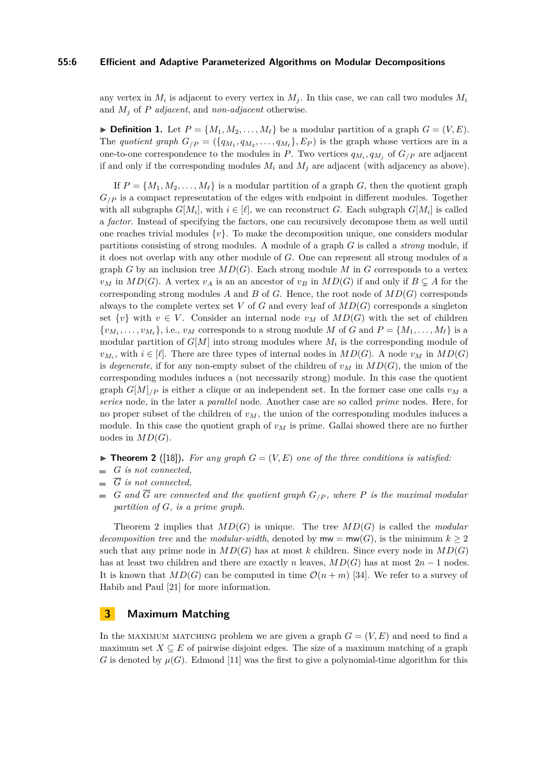#### **55:6 Efficient and Adaptive Parameterized Algorithms on Modular Decompositions**

any vertex in  $M_i$  is adjacent to every vertex in  $M_j$ . In this case, we can call two modules  $M_i$ and *M<sup>j</sup>* of *P adjacent*, and *non-adjacent* otherwise.

**Definition 1.** Let  $P = \{M_1, M_2, \ldots, M_\ell\}$  be a modular partition of a graph  $G = (V, E)$ . The *quotient graph*  $G_{/P} = (\{q_{M_1}, q_{M_2}, \ldots, q_{M_\ell}\}, E_P)$  is the graph whose vertices are in a one-to-one correspondence to the modules in *P*. Two vertices  $q_{M_i}, q_{M_j}$  of  $G_{/P}$  are adjacent if and only if the corresponding modules  $M_i$  and  $M_j$  are adjacent (with adjacency as above).

If  $P = \{M_1, M_2, \ldots, M_\ell\}$  is a modular partition of a graph *G*, then the quotient graph  $G_{\ell}$  is a compact representation of the edges with endpoint in different modules. Together with all subgraphs  $G[M_i]$ , with  $i \in [\ell]$ , we can reconstruct *G*. Each subgraph  $G[M_i]$  is called a *factor*. Instead of specifying the factors, one can recursively decompose them as well until one reaches trivial modules  $\{v\}$ . To make the decomposition unique, one considers modular partitions consisting of strong modules. A module of a graph *G* is called a *strong* module, if it does not overlap with any other module of *G*. One can represent all strong modules of a graph *G* by an inclusion tree *MD*(*G*). Each strong module *M* in *G* corresponds to a vertex *v<sub>M</sub>* in  $MD(G)$ . A vertex *v<sub>A</sub>* is an an ancestor of *v<sub>B</sub>* in  $MD(G)$  if and only if  $B \subseteq A$  for the corresponding strong modules  $A$  and  $B$  of  $G$ . Hence, the root node of  $MD(G)$  corresponds always to the complete vertex set  $V$  of  $G$  and every leaf of  $MD(G)$  corresponds a singleton set  $\{v\}$  with  $v \in V$ . Consider an internal node  $v_M$  of  $MD(G)$  with the set of children  $\{v_{M_1}, \ldots, v_{M_\ell}\},$  i.e.,  $v_M$  corresponds to a strong module *M* of *G* and  $P = \{M_1, \ldots, M_\ell\}$  is a modular partition of  $G[M]$  into strong modules where  $M_i$  is the corresponding module of  $v_{M_i}$ , with  $i \in [\ell]$ . There are three types of internal nodes in  $MD(G)$ . A node  $v_M$  in  $MD(G)$ is *degenerate*, if for any non-empty subset of the children of  $v_M$  in  $MD(G)$ , the union of the corresponding modules induces a (not necessarily strong) module. In this case the quotient graph  $G[M]_{/P}$  is either a clique or an independent set. In the former case one calls  $v_M$  a *series* node, in the later a *parallel* node. Another case are so called *prime* nodes. Here, for no proper subset of the children of *vM*, the union of the corresponding modules induces a module. In this case the quotient graph of  $v_M$  is prime. Gallai showed there are no further nodes in  $MD(G)$ .

- <span id="page-5-1"></span> $\blacktriangleright$  **Theorem 2** ([\[18\]](#page-13-13)). For any graph  $G = (V, E)$  one of the three conditions is satisfied:
- *G is not connected,*
- $\overline{a}$ *G is not connected,*
- $G$  *and*  $\overline{G}$  *are connected and the quotient graph*  $G_{/P}$ *, where*  $P$  *is the maximal modular partition of G, is a prime graph.*

Theorem [2](#page-5-1) implies that *MD*(*G*) is unique. The tree *MD*(*G*) is called the *modular decomposition tree* and the *modular-width*, denoted by  $mw = mw(G)$ , is the minimum  $k \geq 2$ such that any prime node in  $MD(G)$  has at most *k* children. Since every node in  $MD(G)$ has at least two children and there are exactly *n* leaves,  $MD(G)$  has at most  $2n - 1$  nodes. It is known that  $MD(G)$  can be computed in time  $\mathcal{O}(n+m)$  [\[34\]](#page-14-4). We refer to a survey of Habib and Paul [\[21\]](#page-13-15) for more information.

## <span id="page-5-0"></span>**3 Maximum Matching**

In the MAXIMUM MATCHING problem we are given a graph  $G = (V, E)$  and need to find a maximum set  $X \subseteq E$  of pairwise disjoint edges. The size of a maximum matching of a graph *G* is denoted by  $\mu(G)$ . Edmond [\[11\]](#page-12-13) was the first to give a polynomial-time algorithm for this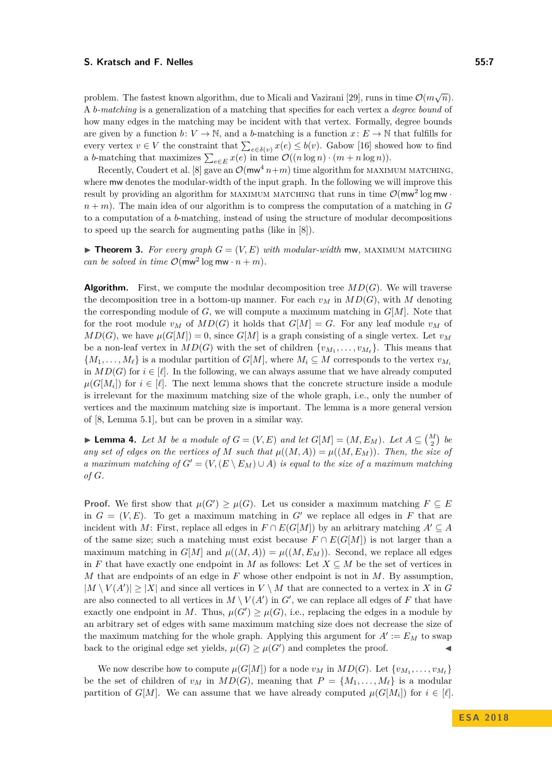problem. The fastest known algorithm, due to Micali and Vazirani [\[29\]](#page-13-5), runs in time  $\mathcal{O}(m\sqrt{n})$ . A *b-matching* is a generalization of a matching that specifies for each vertex a *degree bound* of how many edges in the matching may be incident with that vertex. Formally, degree bounds are given by a function  $b: V \to \mathbb{N}$ , and a *b*-matching is a function  $x: E \to \mathbb{N}$  that fulfills for every vertex  $v \in V$  the constraint that  $\sum_{e \in \delta(v)} x(e) \leq b(v)$ . Gabow [\[16\]](#page-13-6) showed how to find a *b*-matching that maximizes  $\sum_{e \in E} x(e)$  in time  $\mathcal{O}((n \log n) \cdot (m + n \log n))$ .

Recently, Coudert et al. [\[8\]](#page-12-9) gave an  $\mathcal{O}(\text{mw}^4 n+m)$  time algorithm for MAXIMUM MATCHING, where mw denotes the modular-width of the input graph. In the following we will improve this result by providing an algorithm for MAXIMUM MATCHING that runs in time  $\mathcal{O}(\text{mw}^2 \log \text{mw} \cdot \text{m}^2)$  $n + m$ ). The main idea of our algorithm is to compress the computation of a matching in *G* to a computation of a *b*-matching, instead of using the structure of modular decompositions to speed up the search for augmenting paths (like in [\[8\]](#page-12-9)).

<span id="page-6-1"></span>**Find 1.** For every graph  $G = (V, E)$  with modular-width mw, MAXIMUM MATCHING *can be solved in time*  $\mathcal{O}(\text{mw}^2 \log \text{mw} \cdot n + m)$ *.* 

**Algorithm.** First, we compute the modular decomposition tree  $MD(G)$ . We will traverse the decomposition tree in a bottom-up manner. For each  $v_M$  in  $MD(G)$ , with M denoting the corresponding module of  $G$ , we will compute a maximum matching in  $G[M]$ . Note that for the root module  $v_M$  of  $MD(G)$  it holds that  $G[M] = G$ . For any leaf module  $v_M$  of  $MD(G)$ , we have  $\mu(G[M]) = 0$ , since  $G[M]$  is a graph consisting of a single vertex. Let  $v_M$ be a non-leaf vertex in  $MD(G)$  with the set of children  $\{v_{M_1}, \ldots, v_{M_\ell}\}$ . This means that  $\{M_1, \ldots, M_\ell\}$  is a modular partition of  $G[M]$ , where  $M_i \subseteq M$  corresponds to the vertex  $v_{M_i}$ in  $MD(G)$  for  $i \in [\ell]$ . In the following, we can always assume that we have already computed  $\mu(G[M_i])$  for  $i \in [\ell]$ . The next lemma shows that the concrete structure inside a module is irrelevant for the maximum matching size of the whole graph, i.e., only the number of vertices and the maximum matching size is important. The lemma is a more general version of [\[8,](#page-12-9) Lemma 5.1], but can be proven in a similar way.

<span id="page-6-0"></span>▶ **Lemma 4.** *Let M be a module of*  $G = (V, E)$  *and let*  $G[M] = (M, E_M)$ *. Let*  $A \subseteq {M \choose 2}$  *be any set of edges on the vertices of M such that*  $\mu((M, A)) = \mu((M, E_M))$ *. Then, the size of a maximum matching of*  $G' = (V, (E \setminus E_M) \cup A)$  *is equal to the size of a maximum matching of G.*

**Proof.** We first show that  $\mu(G') \geq \mu(G)$ . Let us consider a maximum matching  $F \subseteq E$ in  $G = (V, E)$ . To get a maximum matching in G<sup>'</sup> we replace all edges in F that are incident with *M*: First, replace all edges in  $F \cap E(G[M])$  by an arbitrary matching  $A' \subseteq A$ of the same size; such a matching must exist because  $F \cap E(G[M])$  is not larger than a maximum matching in  $G[M]$  and  $\mu((M, A)) = \mu((M, E_M))$ . Second, we replace all edges in *F* that have exactly one endpoint in *M* as follows: Let  $X \subseteq M$  be the set of vertices in *M* that are endpoints of an edge in *F* whose other endpoint is not in *M*. By assumption,  $|M \setminus V(A')| \geq |X|$  and since all vertices in  $V \setminus M$  that are connected to a vertex in X in G are also connected to all vertices in  $M \setminus V(A')$  in  $G'$ , we can replace all edges of  $F$  that have exactly one endpoint in *M*. Thus,  $\mu(G') \geq \mu(G)$ , i.e., replacing the edges in a module by an arbitrary set of edges with same maximum matching size does not decrease the size of the maximum matching for the whole graph. Applying this argument for  $A' := E_M$  to swap back to the original edge set yields,  $\mu(G) \geq \mu(G')$  and completes the proof.

We now describe how to compute  $\mu(G[M])$  for a node  $v_M$  in  $MD(G)$ . Let  $\{v_{M_1}, \ldots, v_{M_\ell}\}$ be the set of children of  $v_M$  in  $MD(G)$ , meaning that  $P = \{M_1, \ldots, M_\ell\}$  is a modular partition of *G*[*M*]. We can assume that we have already computed  $\mu(G[M_i])$  for  $i \in [\ell]$ .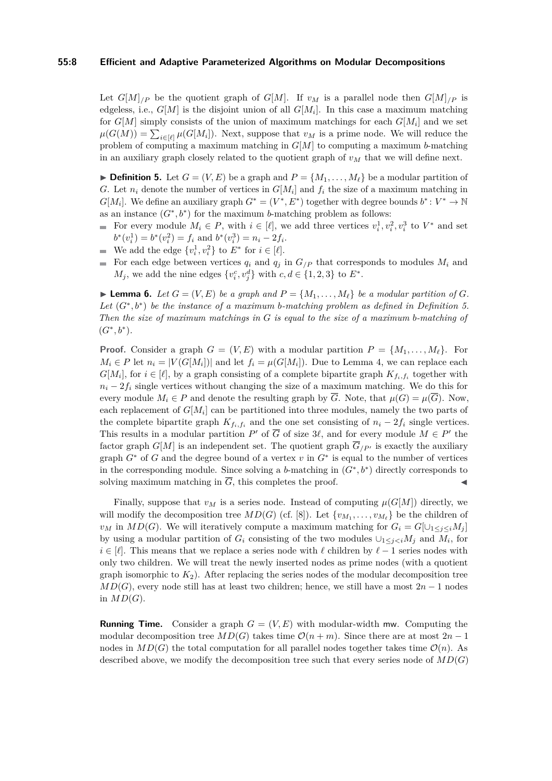#### **55:8 Efficient and Adaptive Parameterized Algorithms on Modular Decompositions**

Let  $G[M]_{/P}$  be the quotient graph of  $G[M]$ . If  $v_M$  is a parallel node then  $G[M]_{/P}$  is edgeless, i.e., *G*[*M*] is the disjoint union of all *G*[*M<sup>i</sup>* ]. In this case a maximum matching for  $G[M]$  simply consists of the union of maximum matchings for each  $G[M_i]$  and we set  $\mu(G(M)) = \sum_{i \in [\ell]} \mu(G[M_i])$ . Next, suppose that  $v_M$  is a prime node. We will reduce the problem of computing a maximum matching in *G*[*M*] to computing a maximum *b*-matching in an auxiliary graph closely related to the quotient graph of  $v<sub>M</sub>$  that we will define next.

<span id="page-7-0"></span> $\triangleright$  **Definition 5.** Let  $G = (V, E)$  be a graph and  $P = \{M_1, \ldots, M_\ell\}$  be a modular partition of *G*. Let  $n_i$  denote the number of vertices in  $G[M_i]$  and  $f_i$  the size of a maximum matching in  $G[M_i]$ . We define an auxiliary graph  $G^* = (V^*, E^*)$  together with degree bounds  $b^*: V^* \to \mathbb{N}$ as an instance  $(G^*, b^*)$  for the maximum *b*-matching problem as follows:

- For every module  $M_i \in P$ , with  $i \in [\ell]$ , we add three vertices  $v_i^1, v_i^2, v_i^3$  to  $V^*$  and set  $b^*(v_i^1) = b^*(v_i^2) = f_i$  and  $b^*(v_i^3) = n_i - 2f_i$ .
- We add the edge  $\{v_i^1, v_i^2\}$  to  $E^*$  for  $i \in [\ell]$ .
- For each edge between vertices  $q_i$  and  $q_j$  in  $G_{/P}$  that corresponds to modules  $M_i$  and m. *M*<sub>*j*</sub>, we add the nine edges  $\{v_i^c, v_j^d\}$  with  $c, d \in \{1, 2, 3\}$  to  $E^*$ .

<span id="page-7-1"></span>**Example 6.** *Let*  $G = (V, E)$  *be a graph and*  $P = \{M_1, \ldots, M_\ell\}$  *be a modular partition of*  $G$ *. Let* (*G*<sup>∗</sup> *, b*<sup>∗</sup> ) *be the instance of a maximum b-matching problem as defined in Definition [5.](#page-7-0) Then the size of maximum matchings in G is equal to the size of a maximum b-matching of*  $(G^*, b^*).$ 

**Proof.** Consider a graph  $G = (V, E)$  with a modular partition  $P = \{M_1, \ldots, M_\ell\}$ . For  $M_i \in P$  let  $n_i = |V(G[M_i])|$  and let  $f_i = \mu(G[M_i])$ . Due to Lemma [4,](#page-6-0) we can replace each  $G[M_i]$ , for  $i \in [\ell]$ , by a graph consisting of a complete bipartite graph  $K_{f_i,f_i}$  together with  $n_i - 2f_i$  single vertices without changing the size of a maximum matching. We do this for every module  $M_i \in P$  and denote the resulting graph by  $\overline{G}$ . Note, that  $\mu(G) = \mu(\overline{G})$ . Now, each replacement of  $G[M_i]$  can be partitioned into three modules, namely the two parts of the complete bipartite graph  $K_{f_i,f_i}$  and the one set consisting of  $n_i - 2f_i$  single vertices. This results in a modular partition  $P'$  of  $\overline{G}$  of size 3 $\ell$ , and for every module  $M \in P'$  the factor graph  $G[M]$  is an independent set. The quotient graph  $\overline{G}_{/P'}$  is exactly the auxiliary graph *G*<sup>∗</sup> of *G* and the degree bound of a vertex *v* in *G*<sup>∗</sup> is equal to the number of vertices in the corresponding module. Since solving a *b*-matching in  $(G^*, b^*)$  directly corresponds to solving maximum matching in  $\overline{G}$ , this completes the proof.

Finally, suppose that  $v_M$  is a series node. Instead of computing  $\mu(G[M])$  directly, we will modify the decomposition tree  $MD(G)$  (cf. [\[8\]](#page-12-9)). Let  $\{v_{M_1}, \ldots, v_{M_\ell}\}\)$  be the children of *v*<sup>*M*</sup> in *MD*(*G*). We will iteratively compute a maximum matching for  $G_i = G[ \cup_{1 \leq i \leq i} M_i ]$ by using a modular partition of  $G_i$  consisting of the two modules  $\cup_{1 \leq j < i} M_j$  and  $M_i$ , for *i* ∈ [ $\ell$ ]. This means that we replace a series node with  $\ell$  children by  $\ell$  − 1 series nodes with only two children. We will treat the newly inserted nodes as prime nodes (with a quotient graph isomorphic to  $K_2$ ). After replacing the series nodes of the modular decomposition tree  $MD(G)$ , every node still has at least two children; hence, we still have a most  $2n-1$  nodes in  $MD(G)$ .

**Running Time.** Consider a graph  $G = (V, E)$  with modular-width mw. Computing the modular decomposition tree  $MD(G)$  takes time  $\mathcal{O}(n+m)$ . Since there are at most  $2n-1$ nodes in  $MD(G)$  the total computation for all parallel nodes together takes time  $\mathcal{O}(n)$ . As described above, we modify the decomposition tree such that every series node of *MD*(*G*)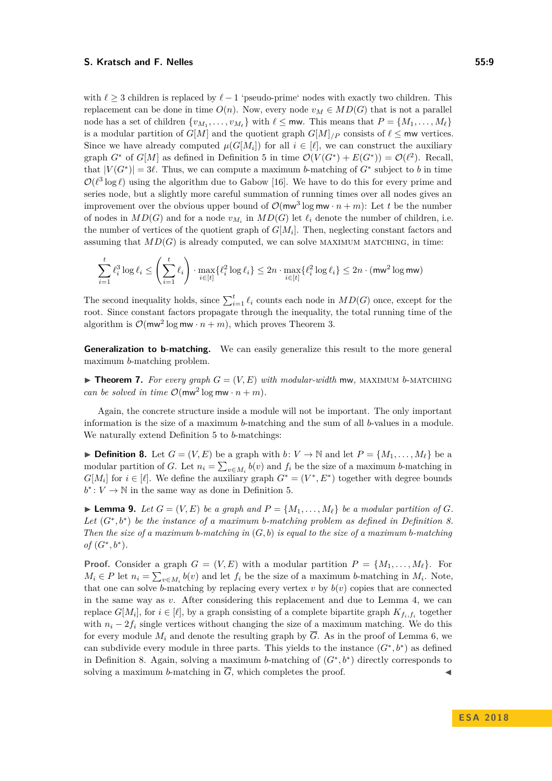with  $\ell \geq 3$  children is replaced by  $\ell - 1$  'pseudo-prime' nodes with exactly two children. This replacement can be done in time  $O(n)$ . Now, every node  $v_M \in MD(G)$  that is not a parallel node has a set of children  $\{v_{M_1}, \ldots, v_{M_\ell}\}$  with  $\ell \leq \text{mw}$ . This means that  $P = \{M_1, \ldots, M_\ell\}$ is a modular partition of  $G[M]$  and the quotient graph  $G[M]$ */P* consists of  $\ell \leq$  mw vertices. Since we have already computed  $\mu(G[M_i])$  for all  $i \in [\ell]$ , we can construct the auxiliary graph  $G^*$  of  $G[M]$  as defined in Definition [5](#page-7-0) in time  $\mathcal{O}(V(G^*) + E(G^*)) = \mathcal{O}(\ell^2)$ . Recall, that  $|V(G^*)| = 3\ell$ . Thus, we can compute a maximum *b*-matching of  $G^*$  subject to *b* in time  $\mathcal{O}(\ell^3 \log \ell)$  using the algorithm due to Gabow [\[16\]](#page-13-6). We have to do this for every prime and series node, but a slightly more careful summation of running times over all nodes gives an improvement over the obvious upper bound of  $\mathcal{O}(\text{mw}^3 \log \text{mw} \cdot n + m)$ : Let *t* be the number of nodes in  $MD(G)$  and for a node  $v_{M_i}$  in  $MD(G)$  let  $\ell_i$  denote the number of children, i.e. the number of vertices of the quotient graph of  $G[M_i]$ . Then, neglecting constant factors and assuming that  $MD(G)$  is already computed, we can solve MAXIMUM MATCHING, in time:

$$
\sum_{i=1}^t \ell_i^3 \log \ell_i \le \left(\sum_{i=1}^t \ell_i\right) \cdot \max_{i \in [t]} \{\ell_i^2 \log \ell_i\} \le 2n \cdot \max_{i \in [t]} \{\ell_i^2 \log \ell_i\} \le 2n \cdot (\text{mw}^2 \log \text{mw})
$$

The second inequality holds, since  $\sum_{i=1}^{t} \ell_i$  counts each node in  $MD(G)$  once, except for the root. Since constant factors propagate through the inequality, the total running time of the algorithm is  $\mathcal{O}(\text{mw}^2 \log \text{mw} \cdot n + m)$ , which proves Theorem [3.](#page-6-1)

**Generalization to b-matching.** We can easily generalize this result to the more general maximum *b*-matching problem.

**Findmen 7.** For every graph  $G = (V, E)$  with modular-width mw, MAXIMUM *b*-MATCHING *can be solved in time*  $\mathcal{O}(\text{mw}^2 \log \text{mw} \cdot n + m)$ *.* 

Again, the concrete structure inside a module will not be important. The only important information is the size of a maximum *b*-matching and the sum of all *b*-values in a module. We naturally extend Definition [5](#page-7-0) to *b*-matchings:

<span id="page-8-0"></span>▶ **Definition 8.** Let  $G = (V, E)$  be a graph with  $b: V \to \mathbb{N}$  and let  $P = \{M_1, \ldots, M_\ell\}$  be a modular partition of *G*. Let  $n_i = \sum_{v \in M_i} b(v)$  and  $f_i$  be the size of a maximum *b*-matching in  $G[M_i]$  for  $i \in [\ell]$ . We define the auxiliary graph  $G^* = (V^*, E^*)$  together with degree bounds  $b^*$ :  $V \to \mathbb{N}$  in the same way as done in Definition [5.](#page-7-0)

**Example 3.** *Let*  $G = (V, E)$  *be a graph and*  $P = \{M_1, \ldots, M_\ell\}$  *be a modular partition of*  $G$ *. Let* (*G*<sup>∗</sup> *, b*<sup>∗</sup> ) *be the instance of a maximum b-matching problem as defined in Definition [8.](#page-8-0) Then the size of a maximum b-matching in* (*G, b*) *is equal to the size of a maximum b-matching of*  $(G^*, b^*)$ .

**Proof.** Consider a graph  $G = (V, E)$  with a modular partition  $P = \{M_1, \ldots, M_\ell\}$ . For  $M_i \in P$  let  $n_i = \sum_{v \in M_i} b(v)$  and let  $f_i$  be the size of a maximum *b*-matching in  $M_i$ . Note, that one can solve *b*-matching by replacing every vertex  $v$  by  $b(v)$  copies that are connected in the same way as *v*. After considering this replacement and due to Lemma [4,](#page-6-0) we can replace  $G[M_i]$ , for  $i \in [\ell]$ , by a graph consisting of a complete bipartite graph  $K_{f_i,f_i}$  together with  $n_i - 2f_i$  single vertices without changing the size of a maximum matching. We do this for every module  $M_i$  and denote the resulting graph by  $\overline{G}$ . As in the proof of Lemma [6,](#page-7-1) we can subdivide every module in three parts. This yields to the instance  $(G^*, b^*)$  as defined in Definition [8.](#page-8-0) Again, solving a maximum *b*-matching of  $(G^*, b^*)$  directly corresponds to solving a maximum *b*-matching in  $\overline{G}$ , which completes the proof.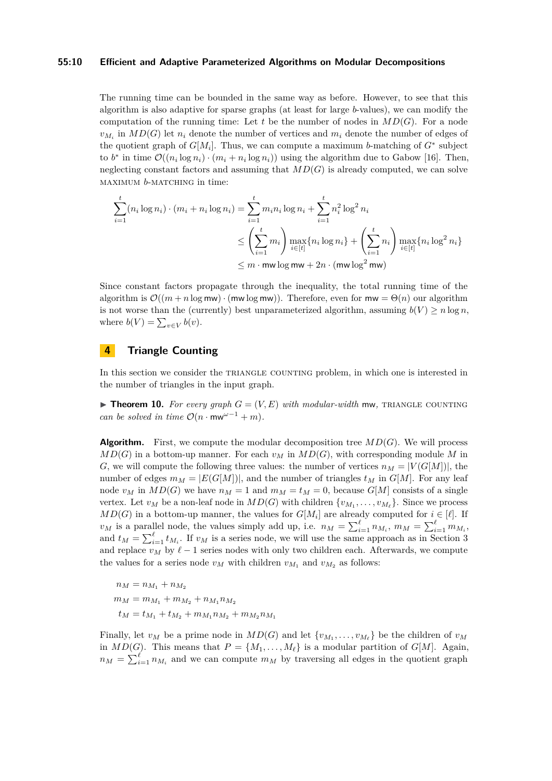#### **55:10 Efficient and Adaptive Parameterized Algorithms on Modular Decompositions**

The running time can be bounded in the same way as before. However, to see that this algorithm is also adaptive for sparse graphs (at least for large *b*-values), we can modify the computation of the running time: Let  $t$  be the number of nodes in  $MD(G)$ . For a node  $v_{M_i}$  in  $MD(G)$  let  $n_i$  denote the number of vertices and  $m_i$  denote the number of edges of the quotient graph of  $G[M_i]$ . Thus, we can compute a maximum *b*-matching of  $G^*$  subject to  $b^*$  in time  $\mathcal{O}((n_i \log n_i) \cdot (m_i + n_i \log n_i))$  using the algorithm due to Gabow [\[16\]](#page-13-6). Then, neglecting constant factors and assuming that  $MD(G)$  is already computed, we can solve maximum *b*-matching in time:

$$
\sum_{i=1}^{t} (n_i \log n_i) \cdot (m_i + n_i \log n_i) = \sum_{i=1}^{t} m_i n_i \log n_i + \sum_{i=1}^{t} n_i^2 \log^2 n_i
$$
  

$$
\leq \left(\sum_{i=1}^{t} m_i\right) \max_{i \in [t]} \{n_i \log n_i\} + \left(\sum_{i=1}^{t} n_i\right) \max_{i \in [t]} \{n_i \log^2 n_i\}
$$
  

$$
\leq m \cdot \text{mw} \log \text{mw} + 2n \cdot (\text{mw} \log^2 \text{mw})
$$

Since constant factors propagate through the inequality, the total running time of the algorithm is  $\mathcal{O}((m + n \log m) \cdot (m \log m))$ . Therefore, even for  $m w = \Theta(n)$  our algorithm is not worse than the (currently) best unparameterized algorithm, assuming  $b(V) \ge n \log n$ , where  $b(V) = \sum_{v \in V} b(v)$ .

## <span id="page-9-0"></span>**4 Triangle Counting**

In this section we consider the TRIANGLE COUNTING problem, in which one is interested in the number of triangles in the input graph.

<span id="page-9-1"></span>**Find 10.** For every graph  $G = (V, E)$  with modular-width mw, TRIANGLE COUNTING *can be solved in time*  $\mathcal{O}(n \cdot \text{mw}^{\omega-1} + m)$ .

**Algorithm.** First, we compute the modular decomposition tree  $MD(G)$ . We will process  $MD(G)$  in a bottom-up manner. For each  $v_M$  in  $MD(G)$ , with corresponding module M in *G*, we will compute the following three values: the number of vertices  $n_M = |V(G[M])|$ , the number of edges  $m_M = |E(G[M])|$ , and the number of triangles  $t_M$  in  $G[M]$ . For any leaf node  $v_M$  in  $MD(G)$  we have  $n_M = 1$  and  $m_M = t_M = 0$ , because  $G[M]$  consists of a single vertex. Let  $v_M$  be a non-leaf node in  $MD(G)$  with children  $\{v_{M_1}, \ldots, v_{M_\ell}\}$ . Since we process *MD*(*G*) in a bottom-up manner, the values for  $G[M_i]$  are already computed for  $i \in [\ell]$ . If *v<sub>M</sub>* is a parallel node, the values simply add up, i.e.  $n_M = \sum_{i=1}^{\ell} n_{M_i}$ ,  $m_M = \sum_{i=1}^{\ell} m_{M_i}$ , and  $t_M = \sum_{i=1}^{\ell} t_{M_i}$ . If  $v_M$  is a series node, we will use the same approach as in Section [3](#page-5-0) and replace  $v_M$  by  $\ell - 1$  series nodes with only two children each. Afterwards, we compute the values for a series node  $v_M$  with children  $v_{M_1}$  and  $v_{M_2}$  as follows:

$$
n_M = n_{M_1} + n_{M_2}
$$
  
\n
$$
m_M = m_{M_1} + m_{M_2} + n_{M_1} n_{M_2}
$$
  
\n
$$
t_M = t_{M_1} + t_{M_2} + m_{M_1} n_{M_2} + m_{M_2} n_M
$$

Finally, let  $v_M$  be a prime node in  $MD(G)$  and let  $\{v_{M_1}, \ldots, v_{M_\ell}\}\)$  be the children of  $v_M$ in  $MD(G)$ . This means that  $P = \{M_1, \ldots, M_\ell\}$  is a modular partition of  $G[M]$ . Again,  $n_M = \sum_{i=1}^{\ell} n_{M_i}$  and we can compute  $m_M$  by traversing all edges in the quotient graph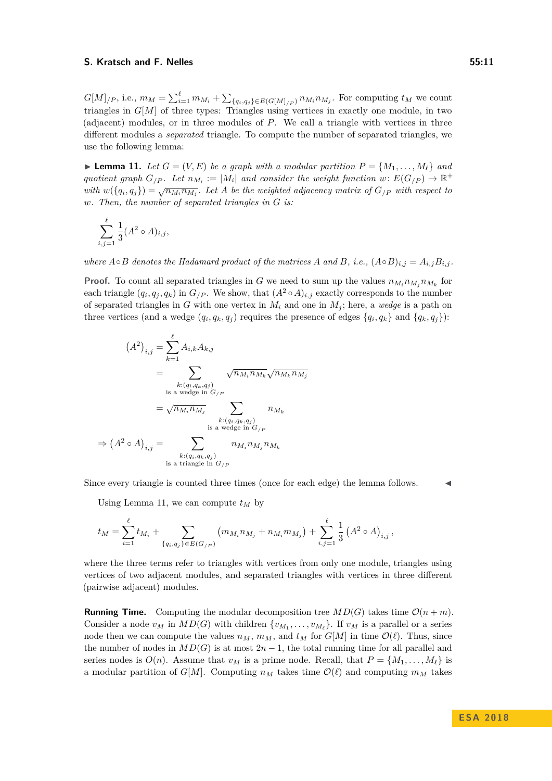$G[M]_{/P}$ , i.e.,  $m_M = \sum_{i=1}^{\ell} m_{M_i} + \sum_{\{q_i,q_j\} \in E(G[M]_{/P})} n_{M_i} n_{M_j}$ . For computing  $t_M$  we count triangles in *G*[*M*] of three types: Triangles using vertices in exactly one module, in two (adjacent) modules, or in three modules of *P*. We call a triangle with vertices in three different modules a *separated* triangle. To compute the number of separated triangles, we use the following lemma:

<span id="page-10-0"></span>**Example 11.** Let  $G = (V, E)$  be a graph with a modular partition  $P = \{M_1, \ldots, M_\ell\}$  and *quotient graph*  $G_{/P}$ *. Let*  $n_{M_i} := |M_i|$  *and consider the weight function*  $w: E(G_{/P}) \to \mathbb{R}^+$ *with*  $w(\{q_i, q_j\}) = \sqrt{n_{M_i} n_{M_j}}$ . Let *A* be the weighted adjacency matrix of  $G_{/P}$  with respect to *w. Then, the number of separated triangles in G is:*

$$
\sum_{i,j=1}^{\ell} \frac{1}{3} (A^2 \circ A)_{i,j},
$$

*where*  $A \circ B$  *denotes the Hadamard product of the matrices*  $A$  *and*  $B$ *, i.e.,*  $(A \circ B)_{i,j} = A_{i,j}B_{i,j}$ 

**Proof.** To count all separated triangles in *G* we need to sum up the values  $n_{M_i} n_{M_j} n_{M_k}$  for each triangle  $(q_i, q_j, q_k)$  in  $G/P$ . We show, that  $(A^2 \circ A)_{i,j}$  exactly corresponds to the number of separated triangles in *G* with one vertex in  $M_i$  and one in  $M_j$ ; here, a *wedge* is a path on three vertices (and a wedge  $(q_i, q_k, q_j)$  requires the presence of edges  $\{q_i, q_k\}$  and  $\{q_k, q_j\}$ ):

$$
(A^{2})_{i,j} = \sum_{k=1}^{\ell} A_{i,k} A_{k,j}
$$
  
\n
$$
= \sum_{\substack{k:(q_i,q_k,q_j) \\ \text{is a wedge in } G_{/P} \\ k:(q_i,q_k,q_j) \\ k:(q_i,q_k,q_j) \\ \text{is a wedge in } G_{/P} \\ k:(q_i,q_k,q_j) \\ \text{is a wedge in } G_{/P} \\ k:(q_i,q_k,q_j) \\ \text{is a triangle in } G_{/P} \end{cases} n_{M_i} n_{M_j} n_{M_k}
$$

Since every triangle is counted three times (once for each edge) the lemma follows. J

Using Lemma [11,](#page-10-0) we can compute  $t_M$  by

$$
t_M = \sum_{i=1}^{\ell} t_{M_i} + \sum_{\{q_i, q_j\} \in E(G_{/P})} (m_{M_i} n_{M_j} + n_{M_i} m_{M_j}) + \sum_{i,j=1}^{\ell} \frac{1}{3} (A^2 \circ A)_{i,j},
$$

where the three terms refer to triangles with vertices from only one module, triangles using vertices of two adjacent modules, and separated triangles with vertices in three different (pairwise adjacent) modules.

**Running Time.** Computing the modular decomposition tree  $MD(G)$  takes time  $\mathcal{O}(n+m)$ . Consider a node  $v_M$  in  $MD(G)$  with children  $\{v_{M_1}, \ldots, v_{M_\ell}\}$ . If  $v_M$  is a parallel or a series node then we can compute the values  $n_M$ ,  $m_M$ , and  $t_M$  for  $G[M]$  in time  $\mathcal{O}(\ell)$ . Thus, since the number of nodes in  $MD(G)$  is at most  $2n-1$ , the total running time for all parallel and series nodes is  $O(n)$ . Assume that  $v_M$  is a prime node. Recall, that  $P = \{M_1, \ldots, M_\ell\}$  is a modular partition of  $G[M]$ . Computing  $n_M$  takes time  $\mathcal{O}(\ell)$  and computing  $m_M$  takes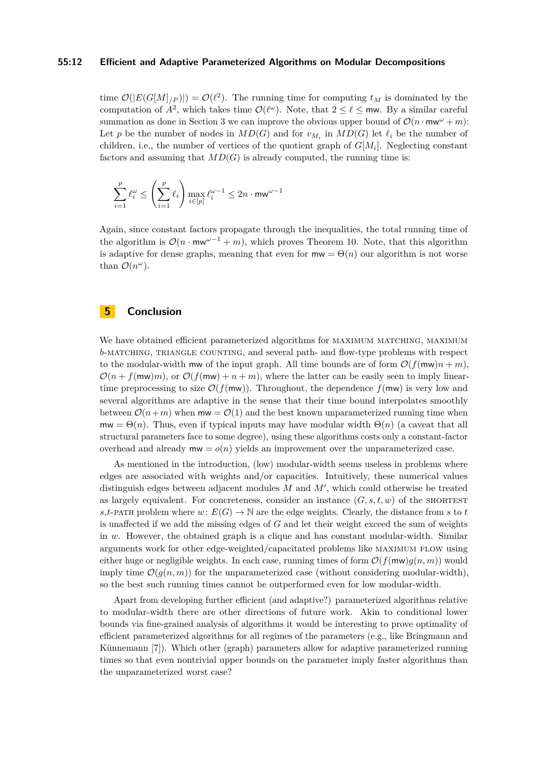#### **55:12 Efficient and Adaptive Parameterized Algorithms on Modular Decompositions**

time  $\mathcal{O}(|E(G[M]_{/P})|) = \mathcal{O}(\ell^2)$ . The running time for computing  $t_M$  is dominated by the computation of  $A^2$ , which takes time  $\mathcal{O}(\ell^{\omega})$ . Note, that  $2 \leq \ell \leq \text{mw}$ . By a similar careful summation as done in Section [3](#page-5-0) we can improve the obvious upper bound of  $\mathcal{O}(n \cdot \text{mw}^{\omega} + m)$ : Let *p* be the number of nodes in  $MD(G)$  and for  $v_{M_i}$  in  $MD(G)$  let  $\ell_i$  be the number of children, i.e., the number of vertices of the quotient graph of *G*[*M<sup>i</sup>* ]. Neglecting constant factors and assuming that  $MD(G)$  is already computed, the running time is:

$$
\sum_{i=1}^p \ell_i^\omega \leq \left(\sum_{i=1}^p \ell_i\right) \max_{i\in [p]} \ell_i^{\omega-1} \leq 2n\cdot \textnormal{mw}^{\omega-1}
$$

Again, since constant factors propagate through the inequalities, the total running time of the algorithm is  $\mathcal{O}(n \cdot m w^{\omega-1} + m)$ , which proves Theorem [10.](#page-9-1) Note, that this algorithm is adaptive for dense graphs, meaning that even for  $m\mathbf{w} = \Theta(n)$  our algorithm is not worse than  $\mathcal{O}(n^{\omega})$ .

## <span id="page-11-0"></span>**5 Conclusion**

We have obtained efficient parameterized algorithms for MAXIMUM MATCHING, MAXIMUM *b*-MATCHING, TRIANGLE COUNTING, and several path- and flow-type problems with respect to the modular-width mw of the input graph. All time bounds are of form  $\mathcal{O}(f(\mathsf{mw})n + m)$ ,  $\mathcal{O}(n + f(\mathsf{mw})m)$ , or  $\mathcal{O}(f(\mathsf{mw}) + n + m)$ , where the latter can be easily seen to imply lineartime preprocessing to size  $\mathcal{O}(f(\mathsf{mw}))$ . Throughout, the dependence  $f(\mathsf{mw})$  is very low and several algorithms are adaptive in the sense that their time bound interpolates smoothly between  $\mathcal{O}(n+m)$  when  $mw = \mathcal{O}(1)$  and the best known unparameterized running time when  $mw = \Theta(n)$ . Thus, even if typical inputs may have modular width  $\Theta(n)$  (a caveat that all structural parameters face to some degree), using these algorithms costs only a constant-factor overhead and already  $m w = o(n)$  yields an improvement over the unparameterized case.

As mentioned in the introduction, (low) modular-width seems useless in problems where edges are associated with weights and/or capacities. Intuitively, these numerical values distinguish edges between adjacent modules  $M$  and  $M'$ , which could otherwise be treated as largely equivalent. For concreteness, consider an instance  $(G, s, t, w)$  of the SHORTEST *s*,*t*-PATH problem where  $w: E(G) \to \mathbb{N}$  are the edge weights. Clearly, the distance from *s* to *t* is unaffected if we add the missing edges of *G* and let their weight exceed the sum of weights in *w*. However, the obtained graph is a clique and has constant modular-width. Similar arguments work for other edge-weighted/capacitated problems like maximum flow using either huge or negligible weights. In each case, running times of form  $\mathcal{O}(f(\mathsf{mw})g(n,m))$  would imply time  $\mathcal{O}(q(n,m))$  for the unparameterized case (without considering modular-width), so the best such running times cannot be outperformed even for low modular-width.

Apart from developing further efficient (and adaptive?) parameterized algorithms relative to modular-width there are other directions of future work. Akin to conditional lower bounds via fine-grained analysis of algorithms it would be interesting to prove optimality of efficient parameterized algorithms for all regimes of the parameters (e.g., like Bringmann and Künnemann [\[7\]](#page-12-4)). Which other (graph) parameters allow for adaptive parameterized running times so that even nontrivial upper bounds on the parameter imply faster algorithms than the unparameterized worst case?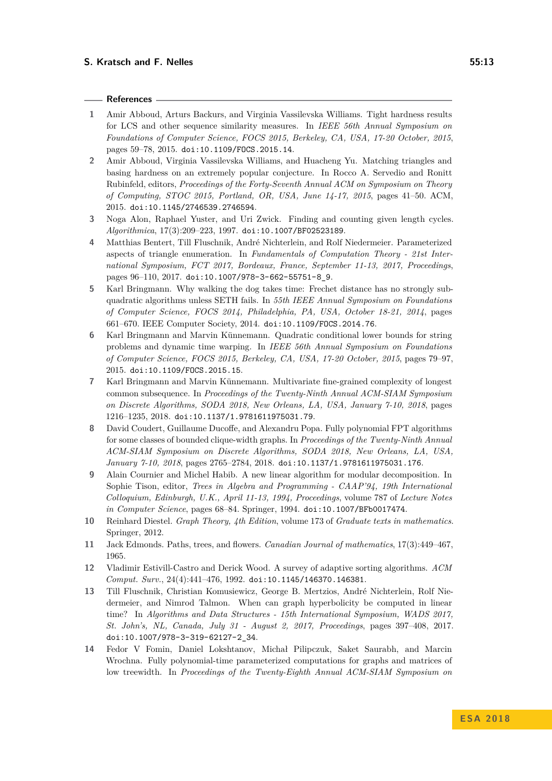#### **References**

- <span id="page-12-2"></span>**1** Amir Abboud, Arturs Backurs, and Virginia Vassilevska Williams. Tight hardness results for LCS and other sequence similarity measures. In *IEEE 56th Annual Symposium on Foundations of Computer Science, FOCS 2015, Berkeley, CA, USA, 17-20 October, 2015*, pages 59–78, 2015. [doi:10.1109/FOCS.2015.14](http://dx.doi.org/10.1109/FOCS.2015.14).
- <span id="page-12-1"></span>**2** Amir Abboud, Virginia Vassilevska Williams, and Huacheng Yu. Matching triangles and basing hardness on an extremely popular conjecture. In Rocco A. Servedio and Ronitt Rubinfeld, editors, *Proceedings of the Forty-Seventh Annual ACM on Symposium on Theory of Computing, STOC 2015, Portland, OR, USA, June 14-17, 2015*, pages 41–50. ACM, 2015. [doi:10.1145/2746539.2746594](http://dx.doi.org/10.1145/2746539.2746594).
- <span id="page-12-10"></span>**3** Noga Alon, Raphael Yuster, and Uri Zwick. Finding and counting given length cycles. *Algorithmica*, 17(3):209–223, 1997. [doi:10.1007/BF02523189](http://dx.doi.org/10.1007/BF02523189).
- <span id="page-12-7"></span>**4** Matthias Bentert, Till Fluschnik, André Nichterlein, and Rolf Niedermeier. Parameterized aspects of triangle enumeration. In *Fundamentals of Computation Theory - 21st International Symposium, FCT 2017, Bordeaux, France, September 11-13, 2017, Proceedings*, pages 96–110, 2017. [doi:10.1007/978-3-662-55751-8\\_9](http://dx.doi.org/10.1007/978-3-662-55751-8_9).
- <span id="page-12-0"></span>**5** Karl Bringmann. Why walking the dog takes time: Frechet distance has no strongly subquadratic algorithms unless SETH fails. In *55th IEEE Annual Symposium on Foundations of Computer Science, FOCS 2014, Philadelphia, PA, USA, October 18-21, 2014*, pages 661–670. IEEE Computer Society, 2014. [doi:10.1109/FOCS.2014.76](http://dx.doi.org/10.1109/FOCS.2014.76).
- <span id="page-12-3"></span>**6** Karl Bringmann and Marvin Künnemann. Quadratic conditional lower bounds for string problems and dynamic time warping. In *IEEE 56th Annual Symposium on Foundations of Computer Science, FOCS 2015, Berkeley, CA, USA, 17-20 October, 2015*, pages 79–97, 2015. [doi:10.1109/FOCS.2015.15](http://dx.doi.org/10.1109/FOCS.2015.15).
- <span id="page-12-4"></span>**7** Karl Bringmann and Marvin Künnemann. Multivariate fine-grained complexity of longest common subsequence. In *Proceedings of the Twenty-Ninth Annual ACM-SIAM Symposium on Discrete Algorithms, SODA 2018, New Orleans, LA, USA, January 7-10, 2018*, pages 1216–1235, 2018. [doi:10.1137/1.9781611975031.79](http://dx.doi.org/10.1137/1.9781611975031.79).
- <span id="page-12-9"></span>**8** David Coudert, Guillaume Ducoffe, and Alexandru Popa. Fully polynomial FPT algorithms for some classes of bounded clique-width graphs. In *Proceedings of the Twenty-Ninth Annual ACM-SIAM Symposium on Discrete Algorithms, SODA 2018, New Orleans, LA, USA, January 7-10, 2018*, pages 2765–2784, 2018. [doi:10.1137/1.9781611975031.176](http://dx.doi.org/10.1137/1.9781611975031.176).
- <span id="page-12-11"></span>**9** Alain Cournier and Michel Habib. A new linear algorithm for modular decomposition. In Sophie Tison, editor, *Trees in Algebra and Programming - CAAP'94, 19th International Colloquium, Edinburgh, U.K., April 11-13, 1994, Proceedings*, volume 787 of *Lecture Notes in Computer Science*, pages 68–84. Springer, 1994. [doi:10.1007/BFb0017474](http://dx.doi.org/10.1007/BFb0017474).
- <span id="page-12-12"></span>**10** Reinhard Diestel. *Graph Theory, 4th Edition*, volume 173 of *Graduate texts in mathematics*. Springer, 2012.
- <span id="page-12-13"></span>**11** Jack Edmonds. Paths, trees, and flowers. *Canadian Journal of mathematics*, 17(3):449–467, 1965.
- <span id="page-12-5"></span>**12** Vladimir Estivill-Castro and Derick Wood. A survey of adaptive sorting algorithms. *ACM Comput. Surv.*, 24(4):441–476, 1992. [doi:10.1145/146370.146381](http://dx.doi.org/10.1145/146370.146381).
- <span id="page-12-8"></span>**13** Till Fluschnik, Christian Komusiewicz, George B. Mertzios, André Nichterlein, Rolf Niedermeier, and Nimrod Talmon. When can graph hyperbolicity be computed in linear time? In *Algorithms and Data Structures - 15th International Symposium, WADS 2017, St. John's, NL, Canada, July 31 - August 2, 2017, Proceedings*, pages 397–408, 2017. [doi:10.1007/978-3-319-62127-2\\_34](http://dx.doi.org/10.1007/978-3-319-62127-2_34).
- <span id="page-12-6"></span>**14** Fedor V Fomin, Daniel Lokshtanov, Michał Pilipczuk, Saket Saurabh, and Marcin Wrochna. Fully polynomial-time parameterized computations for graphs and matrices of low treewidth. In *Proceedings of the Twenty-Eighth Annual ACM-SIAM Symposium on*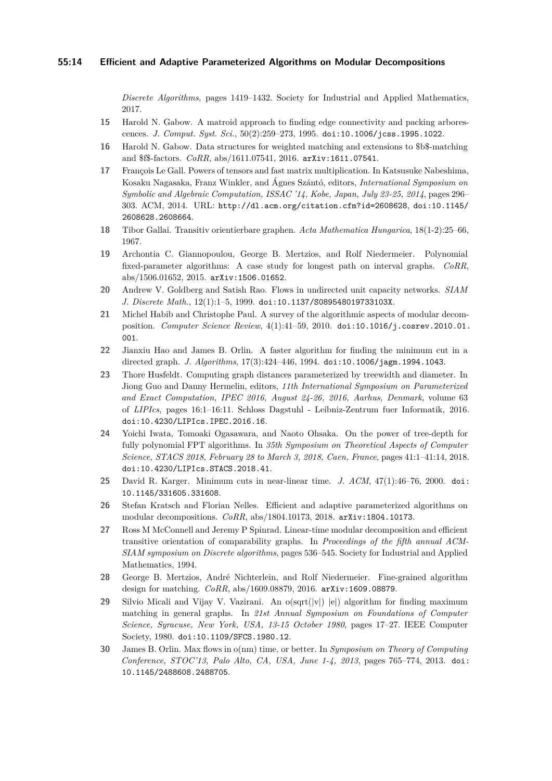*Discrete Algorithms*, pages 1419–1432. Society for Industrial and Applied Mathematics, 2017.

- <span id="page-13-8"></span>**15** Harold N. Gabow. A matroid approach to finding edge connectivity and packing arborescences. *J. Comput. Syst. Sci.*, 50(2):259–273, 1995. [doi:10.1006/jcss.1995.1022](http://dx.doi.org/10.1006/jcss.1995.1022).
- <span id="page-13-6"></span>**16** Harold N. Gabow. Data structures for weighted matching and extensions to \$b\$-matching and \$f\$-factors. *CoRR*, abs/1611.07541, 2016. [arXiv:1611.07541](http://arxiv.org/abs/1611.07541).
- <span id="page-13-11"></span>**17** François Le Gall. Powers of tensors and fast matrix multiplication. In Katsusuke Nabeshima, Kosaku Nagasaka, Franz Winkler, and Ágnes Szántó, editors, *International Symposium on Symbolic and Algebraic Computation, ISSAC '14, Kobe, Japan, July 23-25, 2014*, pages 296– 303. ACM, 2014. URL: <http://dl.acm.org/citation.cfm?id=2608628>, [doi:10.1145/](http://dx.doi.org/10.1145/2608628.2608664) [2608628.2608664](http://dx.doi.org/10.1145/2608628.2608664).
- <span id="page-13-13"></span>**18** Tibor Gallai. Transitiv orientierbare graphen. *Acta Mathematica Hungarica*, 18(1-2):25–66, 1967.
- <span id="page-13-1"></span>**19** Archontia C. Giannopoulou, George B. Mertzios, and Rolf Niedermeier. Polynomial fixed-parameter algorithms: A case study for longest path on interval graphs. *CoRR*, abs/1506.01652, 2015. [arXiv:1506.01652](http://arxiv.org/abs/1506.01652).
- <span id="page-13-7"></span>**20** Andrew V. Goldberg and Satish Rao. Flows in undirected unit capacity networks. *SIAM J. Discrete Math.*, 12(1):1–5, 1999. [doi:10.1137/S089548019733103X](http://dx.doi.org/10.1137/S089548019733103X).
- <span id="page-13-15"></span>**21** Michel Habib and Christophe Paul. A survey of the algorithmic aspects of modular decomposition. *Computer Science Review*, 4(1):41–59, 2010. [doi:10.1016/j.cosrev.2010.01.](http://dx.doi.org/10.1016/j.cosrev.2010.01.001) [001](http://dx.doi.org/10.1016/j.cosrev.2010.01.001).
- <span id="page-13-10"></span>**22** Jianxiu Hao and James B. Orlin. A faster algorithm for finding the minimum cut in a directed graph. *J. Algorithms*, 17(3):424–446, 1994. [doi:10.1006/jagm.1994.1043](http://dx.doi.org/10.1006/jagm.1994.1043).
- <span id="page-13-4"></span>**23** Thore Husfeldt. Computing graph distances parameterized by treewidth and diameter. In Jiong Guo and Danny Hermelin, editors, *11th International Symposium on Parameterized and Exact Computation, IPEC 2016, August 24-26, 2016, Aarhus, Denmark*, volume 63 of *LIPIcs*, pages 16:1–16:11. Schloss Dagstuhl - Leibniz-Zentrum fuer Informatik, 2016. [doi:10.4230/LIPIcs.IPEC.2016.16](http://dx.doi.org/10.4230/LIPIcs.IPEC.2016.16).
- <span id="page-13-3"></span>**24** Yoichi Iwata, Tomoaki Ogasawara, and Naoto Ohsaka. On the power of tree-depth for fully polynomial FPT algorithms. In *35th Symposium on Theoretical Aspects of Computer Science, STACS 2018, February 28 to March 3, 2018, Caen, France*, pages 41:1–41:14, 2018. [doi:10.4230/LIPIcs.STACS.2018.41](http://dx.doi.org/10.4230/LIPIcs.STACS.2018.41).
- <span id="page-13-12"></span>**25** David R. Karger. Minimum cuts in near-linear time. *J. ACM*, 47(1):46–76, 2000. [doi:](http://dx.doi.org/10.1145/331605.331608) [10.1145/331605.331608](http://dx.doi.org/10.1145/331605.331608).
- <span id="page-13-0"></span>**26** Stefan Kratsch and Florian Nelles. Efficient and adaptive parameterized algorithms on modular decompositions. *CoRR*, abs/1804.10173, 2018. [arXiv:1804.10173](http://arxiv.org/abs/1804.10173).
- <span id="page-13-14"></span>**27** Ross M McConnell and Jeremy P Spinrad. Linear-time modular decomposition and efficient transitive orientation of comparability graphs. In *Proceedings of the fifth annual ACM-SIAM symposium on Discrete algorithms*, pages 536–545. Society for Industrial and Applied Mathematics, 1994.
- <span id="page-13-2"></span>**28** George B. Mertzios, André Nichterlein, and Rolf Niedermeier. Fine-grained algorithm design for matching. *CoRR*, abs/1609.08879, 2016. [arXiv:1609.08879](http://arxiv.org/abs/1609.08879).
- <span id="page-13-5"></span>**29** Silvio Micali and Vijay V. Vazirani. An o(sqrt(|v|) |e|) algorithm for finding maximum matching in general graphs. In *21st Annual Symposium on Foundations of Computer Science, Syracuse, New York, USA, 13-15 October 1980*, pages 17–27. IEEE Computer Society, 1980. [doi:10.1109/SFCS.1980.12](http://dx.doi.org/10.1109/SFCS.1980.12).
- <span id="page-13-9"></span>**30** James B. Orlin. Max flows in o(nm) time, or better. In *Symposium on Theory of Computing Conference, STOC'13, Palo Alto, CA, USA, June 1-4, 2013*, pages 765–774, 2013. [doi:](http://dx.doi.org/10.1145/2488608.2488705) [10.1145/2488608.2488705](http://dx.doi.org/10.1145/2488608.2488705).